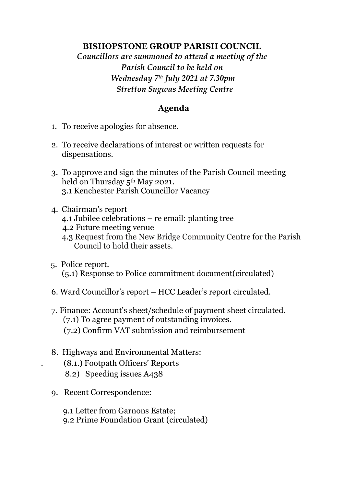## **BISHOPSTONE GROUP PARISH COUNCIL**

*Councillors are summoned to attend a meeting of the Parish Council to be held on Wednesday 7 th July 2021 at 7.30pm Stretton Sugwas Meeting Centre*

## **Agenda**

- 1. To receive apologies for absence.
- 2. To receive declarations of interest or written requests for dispensations.
- 3. To approve and sign the minutes of the Parish Council meeting held on Thursday 5<sup>th</sup> May 2021. 3.1 Kenchester Parish Councillor Vacancy
- 4. Chairman's report
	- 4.1 Jubilee celebrations re email: planting tree
	- 4.2 Future meeting venue
	- 4.3 Request from the New Bridge Community Centre for the Parish Council to hold their assets.
- 5. Police report. (5.1) Response to Police commitment document(circulated)
- 6. Ward Councillor's report HCC Leader's report circulated.
- 7. Finance: Account's sheet/schedule of payment sheet circulated. (7.1) To agree payment of outstanding invoices. (7.2) Confirm VAT submission and reimbursement
- 8. Highways and Environmental Matters: . (8.1.) Footpath Officers' Reports 8.2) Speeding issues A438
- 9. Recent Correspondence:

 9.1 Letter from Garnons Estate; 9.2 Prime Foundation Grant (circulated)